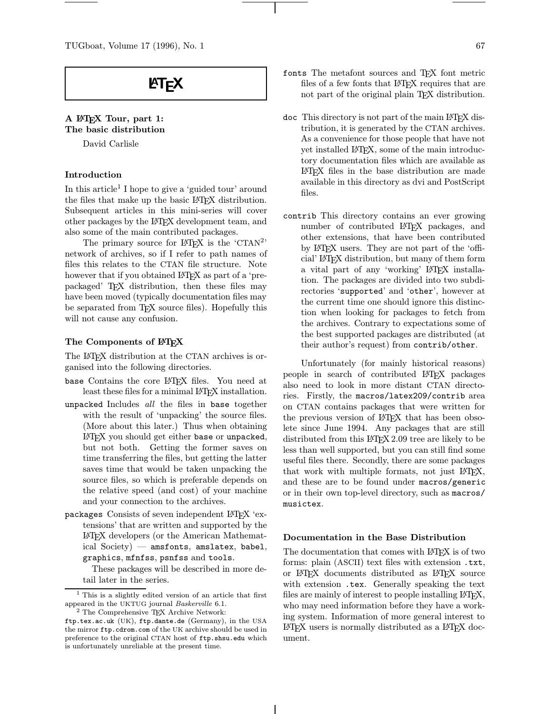# **LEX**

# A LATEX Tour, part 1: The basic distribution

David Carlisle

#### Introduction

In this article<sup>1</sup> I hope to give a 'guided tour' around the files that make up the basic LATEX distribution. Subsequent articles in this mini-series will cover other packages by the LATEX development team, and also some of the main contributed packages.

The primary source for  $\angle MEX$  is the 'CTAN<sup>2</sup>' network of archives, so if I refer to path names of files this relates to the CTAN file structure. Note however that if you obtained LAT<sub>EX</sub> as part of a 'prepackaged' TEX distribution, then these files may have been moved (typically documentation files may be separated from TEX source files). Hopefully this will not cause any confusion.

#### The Components of  $EFEX$

The L<sup>AT</sup>EX distribution at the CTAN archives is organised into the following directories.

- base Contains the core LATEX files. You need at least these files for a minimal LAT<sub>E</sub>X installation.
- unpacked Includes all the files in base together with the result of 'unpacking' the source files. (More about this later.) Thus when obtaining LATEX you should get either base or unpacked, but not both. Getting the former saves on time transferring the files, but getting the latter saves time that would be taken unpacking the source files, so which is preferable depends on the relative speed (and cost) of your machine and your connection to the archives.
- packages Consists of seven independent LATEX 'extensions' that are written and supported by the LATEX developers (or the American Mathematical  $Society$ ) — amsfonts, amslatex, babel, graphics, mfnfss, psnfss and tools.

These packages will be described in more detail later in the series.

- fonts The metafont sources and TEX font metric files of a few fonts that LAT<sub>EX</sub> requires that are not part of the original plain TEX distribution.
- doc This directory is not part of the main LATEX distribution, it is generated by the CTAN archives. As a convenience for those people that have not yet installed LATEX, some of the main introductory documentation files which are available as LATEX files in the base distribution are made available in this directory as dvi and PostScript files.
- contrib This directory contains an ever growing number of contributed LATEX packages, and other extensions, that have been contributed by LATEX users. They are not part of the 'official' LATEX distribution, but many of them form a vital part of any 'working' LATEX installation. The packages are divided into two subdirectories 'supported' and 'other', however at the current time one should ignore this distinction when looking for packages to fetch from the archives. Contrary to expectations some of the best supported packages are distributed (at their author's request) from contrib/other.

Unfortunately (for mainly historical reasons) people in search of contributed LATEX packages also need to look in more distant CTAN directories. Firstly, the macros/latex209/contrib area on CTAN contains packages that were written for the previous version of LAT<sub>F</sub>X that has been obsolete since June 1994. Any packages that are still distributed from this IATEX 2.09 tree are likely to be less than well supported, but you can still find some useful files there. Secondly, there are some packages that work with multiple formats, not just LATEX, and these are to be found under macros/generic or in their own top-level directory, such as macros/ musictex.

#### Documentation in the Base Distribution

The documentation that comes with LAT<sub>EX</sub> is of two forms: plain (ASCII) text files with extension .txt, or LATEX documents distributed as LATEX source with extension .tex. Generally speaking the text files are mainly of interest to people installing LAT<sub>E</sub>X, who may need information before they have a working system. Information of more general interest to LATEX users is normally distributed as a LATEX document.

<sup>&</sup>lt;sup>1</sup> This is a slightly edited version of an article that first appeared in the UKTUG journal Baskerville 6.1.  $^2$  The Comprehensive TEX Archive Network:

ftp.tex.ac.uk (UK), ftp.dante.de (Germany), in the USA the mirror ftp.cdrom.com of the UK archive should be used in preference to the original CTAN host of ftp.shsu.edu which is unfortunately unreliable at the present time.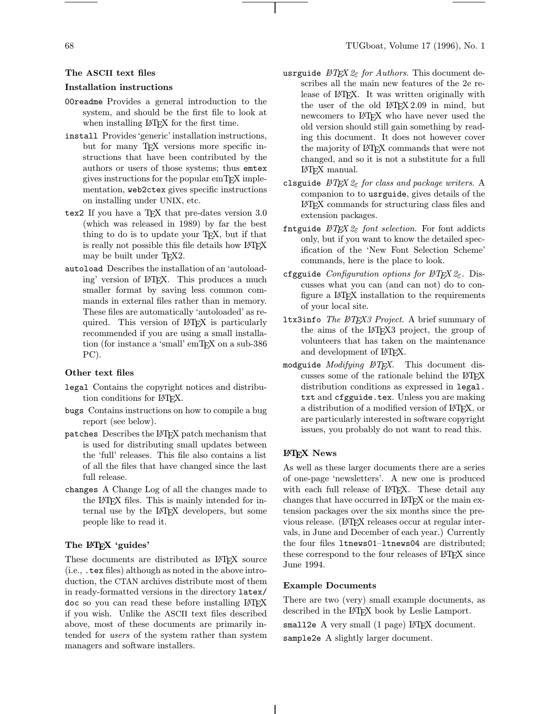# The ASCII text files

#### Installation instructions

- 00readme Provides a general introduction to the system, and should be the first file to look at when installing LAT<sub>EX</sub> for the first time.
- install Provides 'generic' installation instructions, but for many TEX versions more specific instructions that have been contributed by the authors or users of those systems; thus emtex gives instructions for the popular emTEX implementation, web2ctex gives specific instructions on installing under UNIX, etc.
- tex2 If you have a TEX that pre-dates version 3.0 (which was released in 1989) by far the best thing to do is to update your TEX, but if that is really not possible this file details how LAT<sub>EX</sub> may be built under T<sub>F</sub>X2.
- autoload Describes the installation of an 'autoloading' version of LATEX. This produces a much smaller format by saving less common commands in external files rather than in memory. These files are automatically 'autoloaded' as required. This version of L<sup>AT</sup>EX is particularly recommended if you are using a small installation (for instance a 'small' emT<sub>E</sub>X on a sub-386 PC).

#### Other text files

- legal Contains the copyright notices and distribution conditions for IATEX.
- bugs Contains instructions on how to compile a bug report (see below).
- patches Describes the LATEX patch mechanism that is used for distributing small updates between the 'full' releases. This file also contains a list of all the files that have changed since the last full release.
- changes A Change Log of all the changes made to the LATEX files. This is mainly intended for internal use by the LATEX developers, but some people like to read it.

# The L<sup>AT</sup>EX 'guides'

These documents are distributed as IATEX source (i.e., .tex files) although as noted in the above introduction, the CTAN archives distribute most of them in ready-formatted versions in the directory latex/ doc so you can read these before installing LATEX if you wish. Unlike the ASCII text files described above, most of these documents are primarily intended for users of the system rather than system managers and software installers.

- usrguide  $\mathcal{B}T_F X \mathcal{Q}_{\varepsilon}$  for Authors. This document describes all the main new features of the 2e release of LAT<sub>EX</sub>. It was written originally with the user of the old LAT<sub>F</sub>X 2.09 in mind, but newcomers to LAT<sub>EX</sub> who have never used the old version should still gain something by reading this document. It does not however cover the majority of LATEX commands that were not changed, and so it is not a substitute for a full LATEX manual.
- clsguide  $\cancel{B}TEX \, \mathcal{Q}_{\epsilon}$  for class and package writers. A companion to to usrguide, gives details of the LATEX commands for structuring class files and extension packages.
- fntguide  $\cancel{B}TEX \, \mathcal{Q}_{\epsilon}$  font selection. For font addicts only, but if you want to know the detailed specification of the 'New Font Selection Scheme' commands, here is the place to look.
- cfgguide Configuration options for  $BTEX2_{\varepsilon}$ . Discusses what you can (and can not) do to configure a LATEX installation to the requirements of your local site.
- 1tx3info The  $\cancel{B}$ TEX3 Project. A brief summary of the aims of the LATEX3 project, the group of volunteers that has taken on the maintenance and development of IATEX.
- modguide *Modifying*  $BT\cancel{F}X$ . This document discusses some of the rationale behind the LATEX distribution conditions as expressed in legal. txt and cfgguide.tex. Unless you are making a distribution of a modified version of LAT<sub>EX</sub>, or are particularly interested in software copyright issues, you probably do not want to read this.

# LATEX News

As well as these larger documents there are a series of one-page 'newsletters'. A new one is produced with each full release of LAT<sub>EX</sub>. These detail any changes that have occurred in LATEX or the main extension packages over the six months since the previous release. (LATEX releases occur at regular intervals, in June and December of each year.) Currently the four files ltnews01–ltnews04 are distributed; these correspond to the four releases of  $\mathbb{F}T$ <sub>F</sub>X since June 1994.

# Example Documents

There are two (very) small example documents, as described in the LATEX book by Leslie Lamport.

small2e  $A$  very small  $(1$  page)  $IATFX$  document. sample2e A slightly larger document.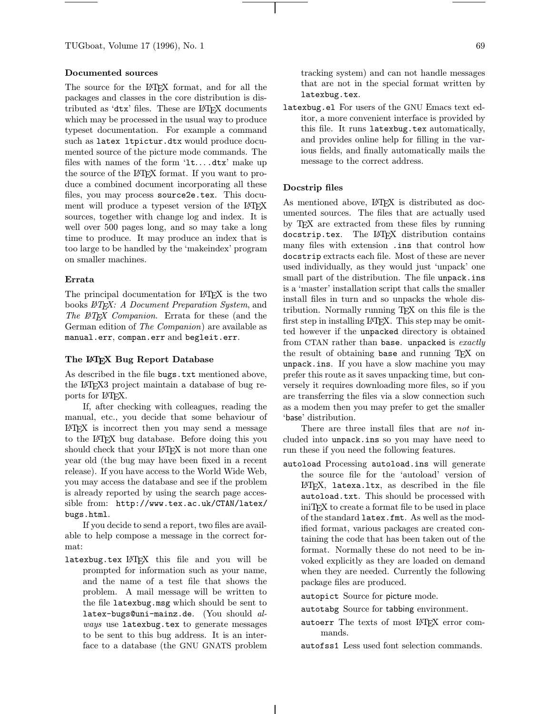TUGboat, Volume 17 (1996), No. 1 69

# Documented sources

The source for the LAT<sub>EX</sub> format, and for all the packages and classes in the core distribution is distributed as 'dtx' files. These are LATFX documents which may be processed in the usual way to produce typeset documentation. For example a command such as latex ltpictur.dtx would produce documented source of the picture mode commands. The files with names of the form 'lt... .dtx' make up the source of the LATEX format. If you want to produce a combined document incorporating all these files, you may process source2e.tex. This document will produce a typeset version of the LAT<sub>EX</sub> sources, together with change log and index. It is well over 500 pages long, and so may take a long time to produce. It may produce an index that is too large to be handled by the 'makeindex' program on smaller machines.

#### Errata

The principal documentation for L<sup>AT</sup>F<sub>X</sub> is the two books LATEX: A Document Preparation System, and The ETEX Companion. Errata for these (and the German edition of The Companion) are available as manual.err, compan.err and begleit.err.

# The L<sup>AT</sup>EX Bug Report Database

As described in the file bugs.txt mentioned above, the LATEX3 project maintain a database of bug reports for L<sup>AT</sup>EX.

If, after checking with colleagues, reading the manual, etc., you decide that some behaviour of LATEX is incorrect then you may send a message to the LATEX bug database. Before doing this you should check that your LAT<sub>EX</sub> is not more than one year old (the bug may have been fixed in a recent release). If you have access to the World Wide Web, you may access the database and see if the problem is already reported by using the search page accessible from: http://www.tex.ac.uk/CTAN/latex/ bugs.html.

If you decide to send a report, two files are available to help compose a message in the correct format:

latexbug.tex LATEX this file and you will be prompted for information such as your name, and the name of a test file that shows the problem. A mail message will be written to the file latexbug.msg which should be sent to latex-bugs@uni-mainz.de. (You should always use latexbug.tex to generate messages to be sent to this bug address. It is an interface to a database (the GNU GNATS problem

tracking system) and can not handle messages

that are not in the special format written by latexbug.tex.

latexbug.el For users of the GNU Emacs text editor, a more convenient interface is provided by this file. It runs latexbug.tex automatically, and provides online help for filling in the various fields, and finally automatically mails the message to the correct address.

# Docstrip files

As mentioned above, LATFX is distributed as documented sources. The files that are actually used by TEX are extracted from these files by running docstrip.tex. The LATEX distribution contains many files with extension .ins that control how docstrip extracts each file. Most of these are never used individually, as they would just 'unpack' one small part of the distribution. The file unpack.ins is a 'master' installation script that calls the smaller install files in turn and so unpacks the whole distribution. Normally running TEX on this file is the first step in installing LAT<sub>F</sub>X. This step may be omitted however if the unpacked directory is obtained from CTAN rather than base. unpacked is exactly the result of obtaining base and running TEX on unpack.ins. If you have a slow machine you may prefer this route as it saves unpacking time, but conversely it requires downloading more files, so if you are transferring the files via a slow connection such as a modem then you may prefer to get the smaller 'base' distribution.

There are three install files that are *not* included into unpack.ins so you may have need to run these if you need the following features.

autoload Processing autoload.ins will generate the source file for the 'autoload' version of LATEX, latexa.ltx, as described in the file autoload.txt. This should be processed with iniTEX to create a format file to be used in place of the standard latex.fmt. As well as the modified format, various packages are created containing the code that has been taken out of the format. Normally these do not need to be invoked explicitly as they are loaded on demand when they are needed. Currently the following package files are produced.

autopict Source for picture mode.

- autotabg Source for tabbing environment.
- autoerr The texts of most LATFX error commands.
- autofss1 Less used font selection commands.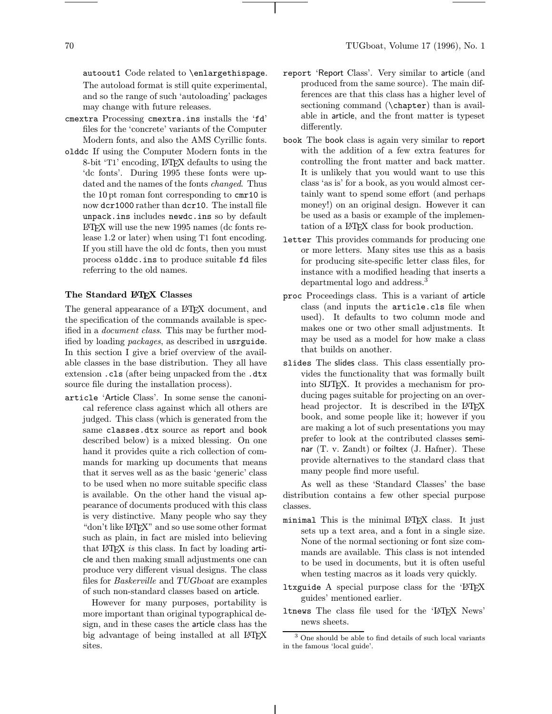autoout1 Code related to \enlargethispage. The autoload format is still quite experimental, and so the range of such 'autoloading' packages may change with future releases.

- cmextra Processing cmextra.ins installs the 'fd' files for the 'concrete' variants of the Computer Modern fonts, and also the AMS Cyrillic fonts.
- olddc If using the Computer Modern fonts in the 8-bit 'T1' encoding, LATEX defaults to using the 'dc fonts'. During 1995 these fonts were updated and the names of the fonts changed. Thus the 10pt roman font corresponding to cmr10 is now dcr1000 rather than dcr10. The install file unpack.ins includes newdc.ins so by default LATEX will use the new 1995 names (dc fonts release 1.2 or later) when using T1 font encoding. If you still have the old dc fonts, then you must process olddc.ins to produce suitable fd files referring to the old names.

#### The Standard LAT<sub>EX</sub> Classes

The general appearance of a LAT<sub>EX</sub> document, and the specification of the commands available is specified in a document class. This may be further modified by loading packages, as described in usrguide. In this section I give a brief overview of the available classes in the base distribution. They all have extension .cls (after being unpacked from the .dtx source file during the installation process).

article 'Article Class'. In some sense the canonical reference class against which all others are judged. This class (which is generated from the same classes.dtx source as report and book described below) is a mixed blessing. On one hand it provides quite a rich collection of commands for marking up documents that means that it serves well as as the basic 'generic' class to be used when no more suitable specific class is available. On the other hand the visual appearance of documents produced with this class is very distinctive. Many people who say they "don't like LATEX" and so use some other format such as plain, in fact are misled into believing that LAT<sub>F</sub>X is this class. In fact by loading  $arti$ cle and then making small adjustments one can produce very different visual designs. The class files for Baskerville and TUGboat are examples of such non-standard classes based on article.

However for many purposes, portability is more important than original typographical design, and in these cases the article class has the big advantage of being installed at all LAT<sub>EX</sub> sites.

- report 'Report Class'. Very similar to article (and produced from the same source). The main differences are that this class has a higher level of sectioning command (\chapter) than is available in article, and the front matter is typeset differently.
- book The book class is again very similar to report with the addition of a few extra features for controlling the front matter and back matter. It is unlikely that you would want to use this class 'as is' for a book, as you would almost certainly want to spend some effort (and perhaps money!) on an original design. However it can be used as a basis or example of the implementation of a LATEX class for book production.
- letter This provides commands for producing one or more letters. Many sites use this as a basis for producing site-specific letter class files, for instance with a modified heading that inserts a departmental logo and address.<sup>3</sup>
- proc Proceedings class. This is a variant of article class (and inputs the article.cls file when used). It defaults to two column mode and makes one or two other small adjustments. It may be used as a model for how make a class that builds on another.
- slides The slides class. This class essentially provides the functionality that was formally built into SLITEX. It provides a mechanism for producing pages suitable for projecting on an overhead projector. It is described in the LAT<sub>EX</sub> book, and some people like it; however if you are making a lot of such presentations you may prefer to look at the contributed classes seminar (T. v. Zandt) or foiltex (J. Hafner). These provide alternatives to the standard class that many people find more useful.

As well as these 'Standard Classes' the base distribution contains a few other special purpose classes.

- minimal This is the minimal LATEX class. It just sets up a text area, and a font in a single size. None of the normal sectioning or font size commands are available. This class is not intended to be used in documents, but it is often useful when testing macros as it loads very quickly.
- ltxguide A special purpose class for the  $H\Gamma$ guides' mentioned earlier.
- ltnews The class file used for the 'LATEX News' news sheets.

<sup>3</sup> One should be able to find details of such local variants in the famous 'local guide'.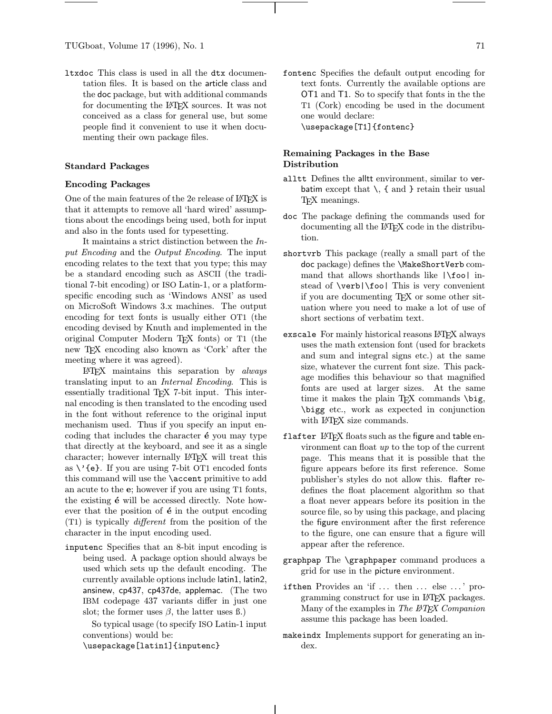ltxdoc This class is used in all the dtx documentation files. It is based on the article class and the doc package, but with additional commands for documenting the L<sup>AT</sup>FX sources. It was not conceived as a class for general use, but some people find it convenient to use it when documenting their own package files.

#### Standard Packages

#### Encoding Packages

One of the main features of the 2e release of LAT<sub>EX</sub> is that it attempts to remove all 'hard wired' assumptions about the encodings being used, both for input and also in the fonts used for typesetting.

It maintains a strict distinction between the Input Encoding and the Output Encoding. The input encoding relates to the text that you type; this may be a standard encoding such as ASCII (the traditional 7-bit encoding) or ISO Latin-1, or a platformspecific encoding such as 'Windows ANSI' as used on MicroSoft Windows 3.x machines. The output encoding for text fonts is usually either OT1 (the encoding devised by Knuth and implemented in the original Computer Modern TEX fonts) or T1 (the new T<sub>E</sub>X encoding also known as 'Cork' after the meeting where it was agreed).

LATEX maintains this separation by always translating input to an Internal Encoding. This is essentially traditional T<sub>EX</sub> 7-bit input. This internal encoding is then translated to the encoding used in the font without reference to the original input mechanism used. Thus if you specify an input encoding that includes the character  $\acute{\textbf{e}}$  you may type that directly at the keyboard, and see it as a single character; however internally LATEX will treat this as  $\vee$  {e}. If you are using 7-bit OT1 encoded fonts this command will use the \accent primitive to add an acute to the e; however if you are using T1 fonts, the existing  $\acute{\textbf{e}}$  will be accessed directly. Note however that the position of  $\acute{\textbf{e}}$  in the output encoding (T1) is typically different from the position of the character in the input encoding used.

inputenc Specifies that an 8-bit input encoding is being used. A package option should always be used which sets up the default encoding. The currently available options include latin1, latin2, ansinew, cp437, cp437de, applemac. (The two IBM codepage 437 variants differ in just one slot; the former uses  $\beta$ , the latter uses  $\beta$ .)

So typical usage (to specify ISO Latin-1 input conventions) would be:

\usepackage[latin1]{inputenc}

# Remaining Packages in the Base Distribution

- alltt Defines the alltt environment, similar to verbatim except that  $\setminus$ , { and } retain their usual T<sub>EX</sub> meanings.
- doc The package defining the commands used for documenting all the L<sup>AT</sup>FX code in the distribution.
- shortvrb This package (really a small part of the doc package) defines the \MakeShortVerb command that allows shorthands like |\foo| instead of \verb|\foo| This is very convenient if you are documenting TEX or some other situation where you need to make a lot of use of short sections of verbatim text.
- exscale For mainly historical reasons LAT<sub>F</sub>X always uses the math extension font (used for brackets and sum and integral signs etc.) at the same size, whatever the current font size. This package modifies this behaviour so that magnified fonts are used at larger sizes. At the same time it makes the plain T<sub>EX</sub> commands  $\big\backslash \big\}$ , \bigg etc., work as expected in conjunction with IAT<sub>E</sub>X size commands.
- flafter  $LATEX$  floats such as the figure and table environment can float up to the top of the current page. This means that it is possible that the figure appears before its first reference. Some publisher's styles do not allow this. flafter redefines the float placement algorithm so that a float never appears before its position in the source file, so by using this package, and placing the figure environment after the first reference to the figure, one can ensure that a figure will appear after the reference.
- graphpap The \graphpaper command produces a grid for use in the picture environment.
- ifthen Provides an 'if ... then ... else ...' programming construct for use in LATEX packages. Many of the examples in The **ETEX** Companion assume this package has been loaded.
- makeindx Implements support for generating an index.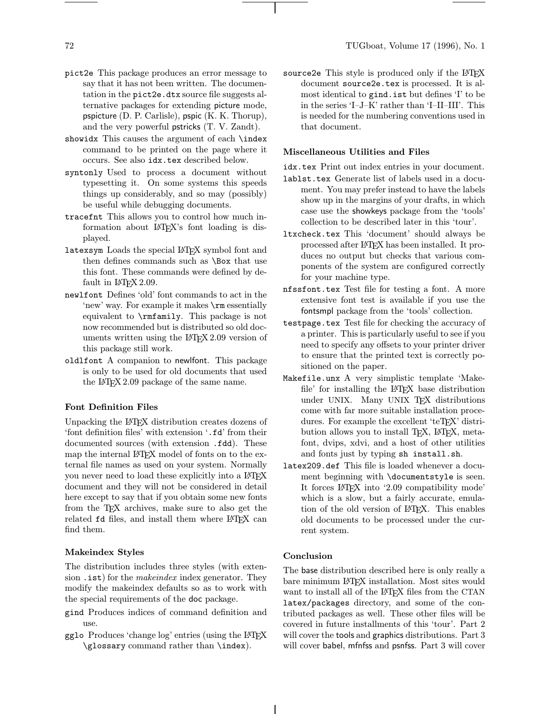- pict2e This package produces an error message to say that it has not been written. The documentation in the pict2e.dtx source file suggests alternative packages for extending picture mode, pspicture (D. P. Carlisle), pspic (K. K. Thorup), and the very powerful pstricks (T. V. Zandt).
- showidx This causes the argument of each \index command to be printed on the page where it occurs. See also idx.tex described below.
- syntonly Used to process a document without typesetting it. On some systems this speeds things up considerably, and so may (possibly) be useful while debugging documents.
- tracefnt This allows you to control how much information about LATEX's font loading is displayed.
- latexsym Loads the special LATEX symbol font and then defines commands such as \Box that use this font. These commands were defined by default in  $L^2F_X^2$  2.09.
- newlfont Defines 'old' font commands to act in the 'new' way. For example it makes \rm essentially equivalent to \rmfamily. This package is not now recommended but is distributed so old documents written using the LAT<sub>EX</sub> 2.09 version of this package still work.
- oldlfont A companion to newlfont. This package is only to be used for old documents that used the L<sup>AT</sup>EX 2.09 package of the same name.

# Font Definition Files

Unpacking the LATEX distribution creates dozens of 'font definition files' with extension '.fd' from their documented sources (with extension .fdd). These map the internal LAT<sub>EX</sub> model of fonts on to the external file names as used on your system. Normally you never need to load these explicitly into a  $\text{BTrX}$ document and they will not be considered in detail here except to say that if you obtain some new fonts from the TEX archives, make sure to also get the related fd files, and install them where LAT<sub>EX</sub> can find them.

# Makeindex Styles

The distribution includes three styles (with extension . ist) for the *makeindex* index generator. They modify the makeindex defaults so as to work with the special requirements of the doc package.

- gind Produces indices of command definition and use.
- gglo Produces 'change log' entries (using the LATEX \glossary command rather than \index).

source2e This style is produced only if the LATEX document source2e.tex is processed. It is almost identical to gind.ist but defines 'I' to be in the series 'I–J–K' rather than 'I–II–III'. This is needed for the numbering conventions used in that document.

#### Miscellaneous Utilities and Files

idx.tex Print out index entries in your document.

- lablst.tex Generate list of labels used in a document. You may prefer instead to have the labels show up in the margins of your drafts, in which case use the showkeys package from the 'tools' collection to be described later in this 'tour'.
- ltxcheck.tex This 'document' should always be processed after LATEX has been installed. It produces no output but checks that various components of the system are configured correctly for your machine type.
- nfssfont.tex Test file for testing a font. A more extensive font test is available if you use the fontsmpl package from the 'tools' collection.
- testpage.tex Test file for checking the accuracy of a printer. This is particularly useful to see if you need to specify any offsets to your printer driver to ensure that the printed text is correctly positioned on the paper.
- Makefile.unx A very simplistic template 'Makefile' for installing the LATEX base distribution under UNIX. Many UNIX TEX distributions come with far more suitable installation procedures. For example the excellent 'teTEX' distribution allows you to install T<sub>E</sub>X, L<sup>A</sup>T<sub>E</sub>X, metafont, dvips, xdvi, and a host of other utilities and fonts just by typing sh install.sh.
- latex209.def This file is loaded whenever a document beginning with \documentstyle is seen. It forces LATEX into '2.09 compatibility mode' which is a slow, but a fairly accurate, emulation of the old version of LATEX. This enables old documents to be processed under the current system.

# Conclusion

The base distribution described here is only really a bare minimum L<sup>AT</sup>EX installation. Most sites would want to install all of the LATEX files from the CTAN latex/packages directory, and some of the contributed packages as well. These other files will be covered in future installments of this 'tour'. Part 2 will cover the tools and graphics distributions. Part 3 will cover babel, mfnfss and psnfss. Part 3 will cover